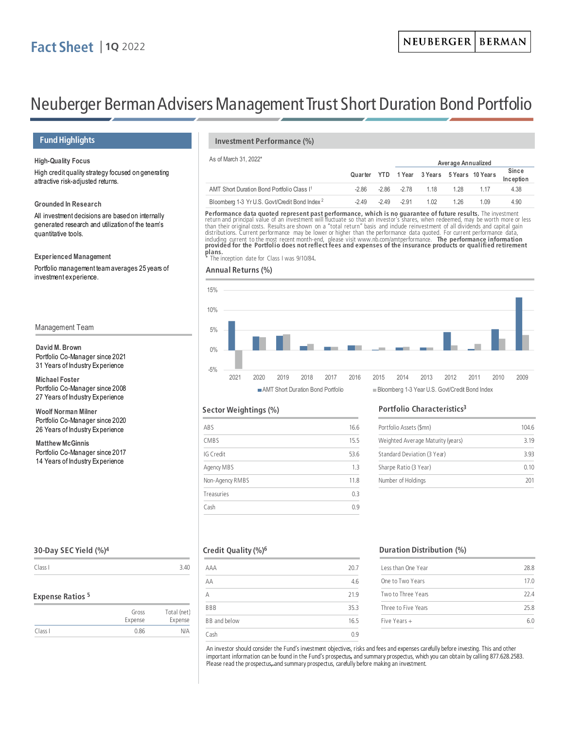# **Fact Sheet │1Q** <sup>2022</sup>

# Neuberger Berman Advisers Management Trust Short Duration Bond Portfolio

# **Fund Highlights**

### **High-Quality Focus**

High credit quality strategy focused on generating attractive risk-adjusted returns.

**Grounded In Research**

All investment decisions are based on internally generated research and utilization of the team's quantitative tools.

### **Experienced Management**

Portfolio management team averages 25 years of investment experience.

### Management Team

### **David M. Brown** Portfolio Co-Manager since 2021 31 Years of Industry Experience

**Michael Foster** Portfolio Co-Manager since 2008 27 Years of Industry Experience

**Woolf Norman Milner** Portfolio Co-Manager since 2020 26 Years of Industry Experience

**Matthew McGinnis** Portfolio Co-Manager since 2017 14 Years of Industry Experience

### **Investment Performance (%)**

# As of March 31, 2022\* **Aver age Annualized**

|                                                           |        |               |       |      | Quarter YTD 1 Year 3 Years 5 Years 10 Years | Since<br>Inception |
|-----------------------------------------------------------|--------|---------------|-------|------|---------------------------------------------|--------------------|
| AMT Short Duration Bond Portfolio Class I <sup>1</sup>    | -2.86  | -286 -278     | 1 1 8 | 1 28 | 1 1 7                                       | 4.38               |
| Bloomberg 1-3 Yr U.S. Govt/Credit Bond Index <sup>2</sup> | $-249$ | $-2.49 -2.91$ | 1.02  | 1 26 | 1 0 9                                       | 4.90               |

**Performance data quoted represent past performance, which is no guarantee of future results.** The investment<br>return and principal value of an investment will fluctuate so that an investor's shares, when redeemed, may be<br>t distributions. Current performance may be lower or higher than the performance data quoted. For current performance data,<br>including current to the most recent month-end, please visit www.nb.com/amtperformance. **The perfo plans.**

The inception date for Class I was 9/10/84.

### **Annual Returns (%)**



# AMT Short Duration Bond Portfolio Bloomberg 1-3 Year U.S. Govt/Credit Bond Index

### **Sector Weightings (%)**

| ABS             | 16.6 |
|-----------------|------|
| CMBS            | 15.5 |
| IG Credit       | 53.6 |
| Agency MBS      | 1.3  |
| Non-Agency RMBS | 11.8 |
| Treasuries      | 0.3  |
| Cash            | 0 g  |

### **Portfolio Characteristics3**

| Portfolio Assets (\$mn)           | 1046 |  |
|-----------------------------------|------|--|
| Weighted Average Maturity (years) | 3 19 |  |
| Standard Deviation (3 Year)       | 393  |  |
| Sharpe Ratio (3 Year)             | 0.10 |  |
| Number of Holdings                | 201  |  |

# **30-Day SEC Yield (%)4**

Class I 3.40

### **Expense Ratios <sup>5</sup>**

|         | Gross<br>Expense | Total (net)<br>Expense |
|---------|------------------|------------------------|
| Class I | 0.86             | N/A                    |

## **Credit Quality (%)6**

| AAA          | 20.7 |
|--------------|------|
| AA           | 4.6  |
| A            | 21.9 |
| <b>BBB</b>   | 35.3 |
| BB and below | 16.5 |
| Cash         | 0.9  |

### **Duration Distribution (%)**

| Less than One Year  | 28.8 |
|---------------------|------|
| One to Two Years    | 170  |
| Two to Three Years  | 22 A |
| Three to Five Years | 25 R |
| Five Years $+$      | 6 N  |
|                     |      |

An investor should consider the Fund's investment objectives, risks and fees and expenses carefully before investing. This and other important information can be found in the Fund's prospectus, and summary prospectus, which you can obtain by calling 877.628.2583. Please read the prospectus, and summary prospectus, carefully before making an investment.